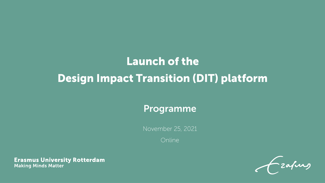## **Launch of the Design Impact Transition (DIT) platform**

## Programme

November 25, 2021

Online

**Erasmus University Rotterdam Making Minds Matter** 

-zafurs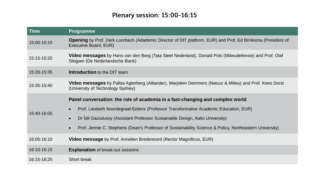## **Plenary session: 15:00-16:15**

| <b>Time</b> | <b>Programme</b>                                                                                                                                     |  |
|-------------|------------------------------------------------------------------------------------------------------------------------------------------------------|--|
| 15:00-15:15 | Opening by Prof. Derk Loorbach (Adademic Director of DIT platform, EUR) and Prof. Ed Brinksma (President of<br>Executive Board, EUR)                 |  |
| 15:15-15:20 | <b>Video messages</b> by Hans van den Berg (Tata Steel Nederland), Donald Pols (Milieudefensie) and Prof. Olaf<br>Sleijpen (De Nederlandsche Bank)   |  |
| 15:20-15:35 | <b>Introduction</b> to the DIT team                                                                                                                  |  |
| 15:35-15:40 | <b>Video messages</b> by Pallas Agterberg (Alliander), Marjolein Demmers (Natuur & Milieu) and Prof. Kees Dorst<br>(University of Technology Sydney) |  |
| 15:40-16:05 | Panel conversation: the role of academia in a fast-changing and complex world                                                                        |  |
|             | Prof. Liesbeth Noordegraaf-Eelens (Professor Transformative Academic Education, EUR)<br>$\bullet$                                                    |  |
|             | Dr Idil Gaziulusoy (Assistant Professor Sustainable Design, Aalto University)<br>$\bullet$                                                           |  |
|             | Prof. Jennie C. Stephens (Dean's Professor of Sustainability Science & Policy, Northeastern University)<br>$\bullet$                                 |  |
| 16:05-16:10 | <b>Video message</b> by Prof. Annelien Bredenoord (Rector Magnificus, EUR)                                                                           |  |
| 16:10-16:15 | <b>Explanation</b> of break-out sessions                                                                                                             |  |
| 16:15-16:25 | Short break                                                                                                                                          |  |